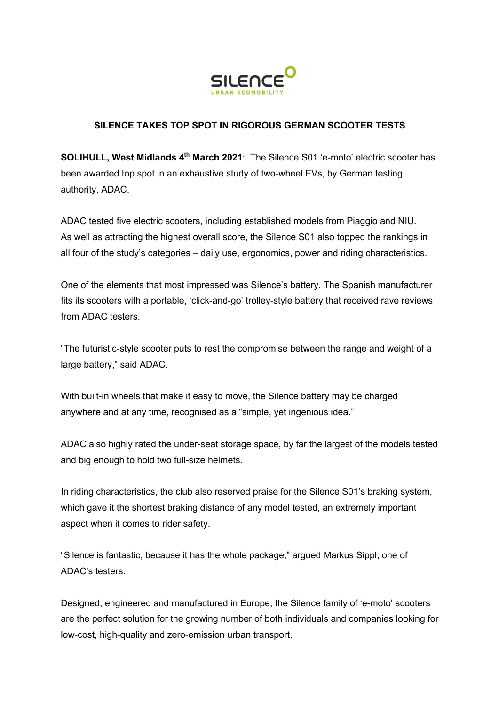

## **SILENCE TAKES TOP SPOT IN RIGOROUS GERMAN SCOOTER TESTS**

**SOLIHULL, West Midlands 4th March 2021**: The Silence S01 'e-moto' electric scooter has been awarded top spot in an exhaustive study of two-wheel EVs, by German testing authority, ADAC.

ADAC tested five electric scooters, including established models from Piaggio and NIU. As well as attracting the highest overall score, the Silence S01 also topped the rankings in all four of the study's categories – daily use, ergonomics, power and riding characteristics.

One of the elements that most impressed was Silence's battery. The Spanish manufacturer fits its scooters with a portable, 'click-and-go' trolley-style battery that received rave reviews from ADAC testers.

"The futuristic-style scooter puts to rest the compromise between the range and weight of a large battery," said ADAC.

With built-in wheels that make it easy to move, the Silence battery may be charged anywhere and at any time, recognised as a "simple, yet ingenious idea."

ADAC also highly rated the under-seat storage space, by far the largest of the models tested and big enough to hold two full-size helmets.

In riding characteristics, the club also reserved praise for the Silence S01's braking system, which gave it the shortest braking distance of any model tested, an extremely important aspect when it comes to rider safety.

"Silence is fantastic, because it has the whole package," argued Markus Sippl, one of ADAC's testers.

Designed, engineered and manufactured in Europe, the Silence family of 'e-moto' scooters are the perfect solution for the growing number of both individuals and companies looking for low-cost, high-quality and zero-emission urban transport.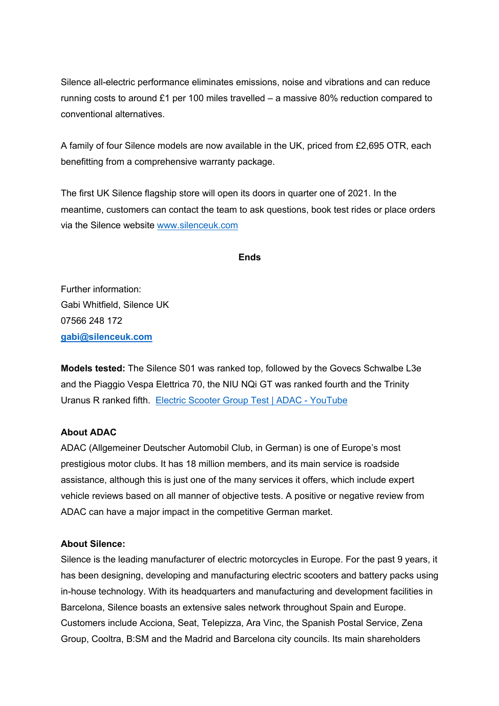Silence all-electric performance eliminates emissions, noise and vibrations and can reduce running costs to around £1 per 100 miles travelled – a massive 80% reduction compared to conventional alternatives.

A family of four Silence models are now available in the UK, priced from £2,695 OTR, each benefitting from a comprehensive warranty package.

The first UK Silence flagship store will open its doors in quarter one of 2021. In the meantime, customers can contact the team to ask questions, book test rides or place orders via the Silence website www.silenceuk.com

## **Ends**

Further information: Gabi Whitfield, Silence UK 07566 248 172 **gabi@silenceuk.com**

**Models tested:** The Silence S01 was ranked top, followed by the Govecs Schwalbe L3e and the Piaggio Vespa Elettrica 70, the NIU NQi GT was ranked fourth and the Trinity Uranus R ranked fifth. Electric Scooter Group Test | ADAC - YouTube

## **About ADAC**

ADAC (Allgemeiner Deutscher Automobil Club, in German) is one of Europe's most prestigious motor clubs. It has 18 million members, and its main service is roadside assistance, although this is just one of the many services it offers, which include expert vehicle reviews based on all manner of objective tests. A positive or negative review from ADAC can have a major impact in the competitive German market.

## **About Silence:**

Silence is the leading manufacturer of electric motorcycles in Europe. For the past 9 years, it has been designing, developing and manufacturing electric scooters and battery packs using in-house technology. With its headquarters and manufacturing and development facilities in Barcelona, Silence boasts an extensive sales network throughout Spain and Europe. Customers include Acciona, Seat, Telepizza, Ara Vinc, the Spanish Postal Service, Zena Group, Cooltra, B:SM and the Madrid and Barcelona city councils. Its main shareholders